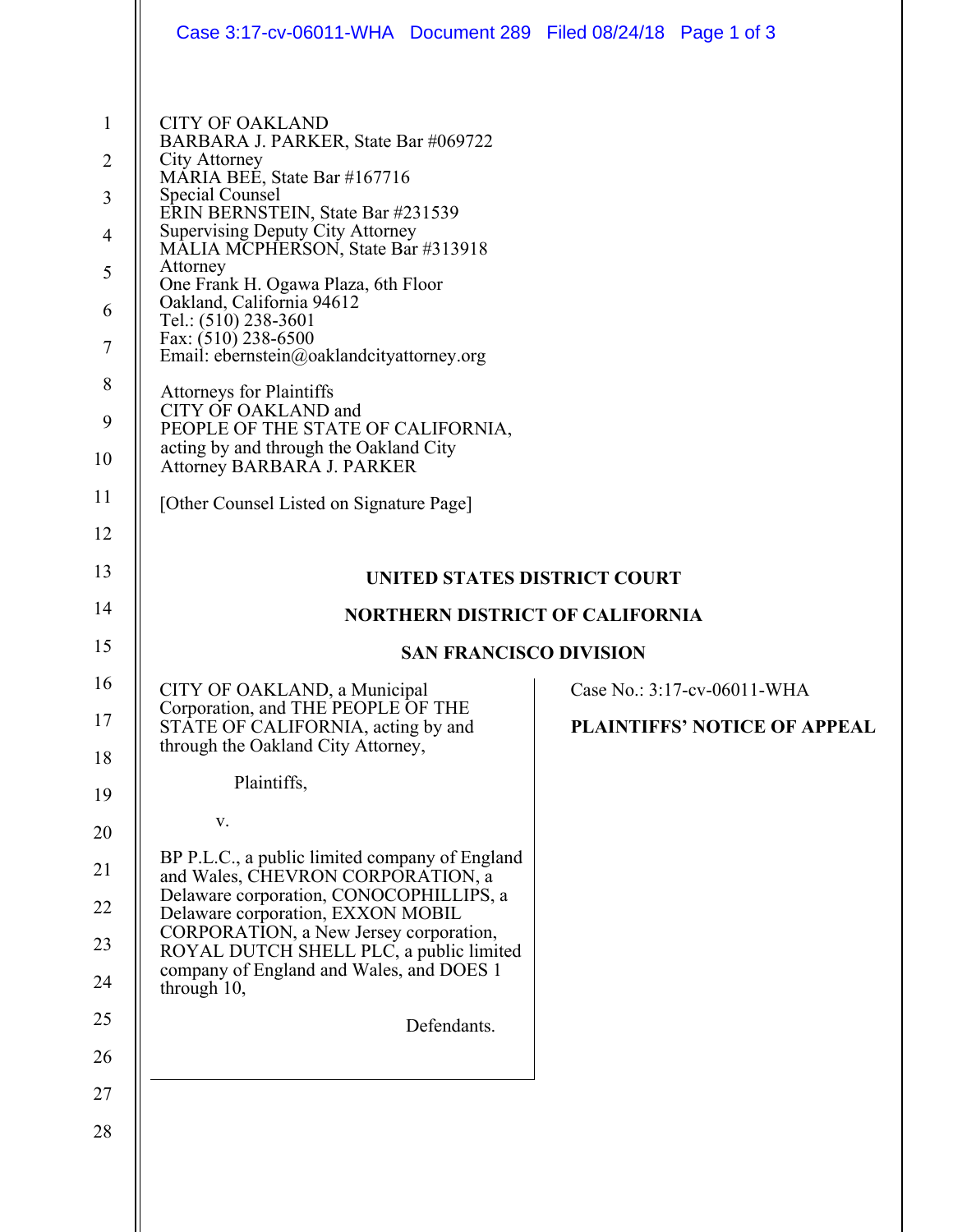|                                                                         | Case 3:17-cv-06011-WHA Document 289 Filed 08/24/18 Page 1 of 3                                                                                                                                                                                                                                                                                                                                                                                                                                                                                                                                               |  |                              |
|-------------------------------------------------------------------------|--------------------------------------------------------------------------------------------------------------------------------------------------------------------------------------------------------------------------------------------------------------------------------------------------------------------------------------------------------------------------------------------------------------------------------------------------------------------------------------------------------------------------------------------------------------------------------------------------------------|--|------------------------------|
| $\mathbf{1}$<br>$\overline{2}$<br>3<br>4<br>5<br>6<br>7<br>8<br>9<br>10 | <b>CITY OF OAKLAND</b><br>BARBARA J. PARKER, State Bar #069722<br>City Attorney<br>MARIA BEE, State Bar #167716<br>Special Counsel<br>ERIN BERNSTEIN, State Bar #231539<br><b>Supervising Deputy City Attorney</b><br>MALIA MCPHERSON, State Bar #313918<br>Attorney<br>One Frank H. Ogawa Plaza, 6th Floor<br>Oakland, California 94612<br>Tel.: (510) 238-3601<br>Fax: (510) 238-6500<br>Email: ebernstein@oaklandcityattorney.org<br><b>Attorneys for Plaintiffs</b><br>CITY OF OAKLAND and<br>PEOPLE OF THE STATE OF CALIFORNIA,<br>acting by and through the Oakland City<br>Attorney BARBARA J. PARKER |  |                              |
| 11                                                                      | [Other Counsel Listed on Signature Page]                                                                                                                                                                                                                                                                                                                                                                                                                                                                                                                                                                     |  |                              |
| 12                                                                      |                                                                                                                                                                                                                                                                                                                                                                                                                                                                                                                                                                                                              |  |                              |
| 13                                                                      | UNITED STATES DISTRICT COURT                                                                                                                                                                                                                                                                                                                                                                                                                                                                                                                                                                                 |  |                              |
| 14                                                                      | <b>NORTHERN DISTRICT OF CALIFORNIA</b>                                                                                                                                                                                                                                                                                                                                                                                                                                                                                                                                                                       |  |                              |
|                                                                         | <b>SAN FRANCISCO DIVISION</b>                                                                                                                                                                                                                                                                                                                                                                                                                                                                                                                                                                                |  |                              |
| 15                                                                      |                                                                                                                                                                                                                                                                                                                                                                                                                                                                                                                                                                                                              |  |                              |
| 16                                                                      | CITY OF OAKLAND, a Municipal                                                                                                                                                                                                                                                                                                                                                                                                                                                                                                                                                                                 |  | Case No.: 3:17-cv-06011-WHA  |
| 17                                                                      | Corporation, and THE PEOPLE OF THE<br>STATE OF CALIFORNIA, acting by and<br>through the Oakland City Attorney,                                                                                                                                                                                                                                                                                                                                                                                                                                                                                               |  | PLAINTIFFS' NOTICE OF APPEAL |
| 18<br>19                                                                | Plaintiffs,                                                                                                                                                                                                                                                                                                                                                                                                                                                                                                                                                                                                  |  |                              |
| 20                                                                      | V.                                                                                                                                                                                                                                                                                                                                                                                                                                                                                                                                                                                                           |  |                              |
| 21                                                                      | BP P.L.C., a public limited company of England<br>and Wales, CHEVRON CORPORATION, a                                                                                                                                                                                                                                                                                                                                                                                                                                                                                                                          |  |                              |
| 22                                                                      | Delaware corporation, CONOCOPHILLIPS, a<br>Delaware corporation, EXXON MOBIL                                                                                                                                                                                                                                                                                                                                                                                                                                                                                                                                 |  |                              |
| 23                                                                      | CORPORATION, a New Jersey corporation,<br>ROYAL DUTCH SHELL PLC, a public limited                                                                                                                                                                                                                                                                                                                                                                                                                                                                                                                            |  |                              |
| 24                                                                      | company of England and Wales, and DOES 1<br>through 10,                                                                                                                                                                                                                                                                                                                                                                                                                                                                                                                                                      |  |                              |
| 25                                                                      | Defendants.                                                                                                                                                                                                                                                                                                                                                                                                                                                                                                                                                                                                  |  |                              |
| 26                                                                      |                                                                                                                                                                                                                                                                                                                                                                                                                                                                                                                                                                                                              |  |                              |
| 27                                                                      |                                                                                                                                                                                                                                                                                                                                                                                                                                                                                                                                                                                                              |  |                              |
| 28                                                                      |                                                                                                                                                                                                                                                                                                                                                                                                                                                                                                                                                                                                              |  |                              |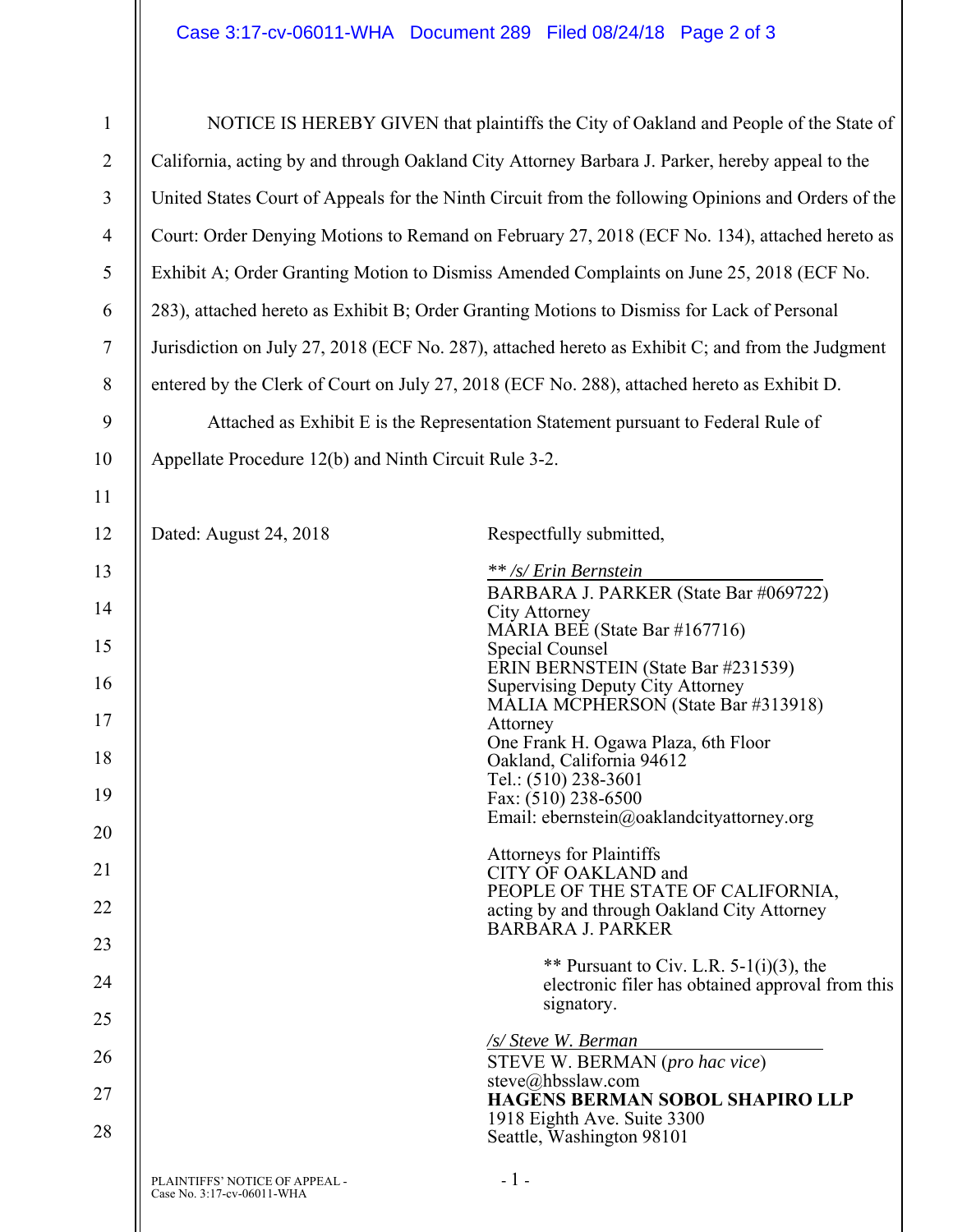| 1              | NOTICE IS HEREBY GIVEN that plaintiffs the City of Oakland and People of the State of              |                                                                                                                      |  |
|----------------|----------------------------------------------------------------------------------------------------|----------------------------------------------------------------------------------------------------------------------|--|
| $\overline{2}$ | California, acting by and through Oakland City Attorney Barbara J. Parker, hereby appeal to the    |                                                                                                                      |  |
| 3              | United States Court of Appeals for the Ninth Circuit from the following Opinions and Orders of the |                                                                                                                      |  |
| $\overline{4}$ | Court: Order Denying Motions to Remand on February 27, 2018 (ECF No. 134), attached hereto as      |                                                                                                                      |  |
| 5              | Exhibit A; Order Granting Motion to Dismiss Amended Complaints on June 25, 2018 (ECF No.           |                                                                                                                      |  |
| 6              | 283), attached hereto as Exhibit B; Order Granting Motions to Dismiss for Lack of Personal         |                                                                                                                      |  |
| 7              | Jurisdiction on July 27, 2018 (ECF No. 287), attached hereto as Exhibit C; and from the Judgment   |                                                                                                                      |  |
| 8              |                                                                                                    | entered by the Clerk of Court on July 27, 2018 (ECF No. 288), attached hereto as Exhibit D.                          |  |
| 9              |                                                                                                    | Attached as Exhibit E is the Representation Statement pursuant to Federal Rule of                                    |  |
| 10             | Appellate Procedure 12(b) and Ninth Circuit Rule 3-2.                                              |                                                                                                                      |  |
| 11             |                                                                                                    |                                                                                                                      |  |
| 12             | Dated: August 24, 2018                                                                             | Respectfully submitted,                                                                                              |  |
| 13             |                                                                                                    | ** /s/ Erin Bernstein                                                                                                |  |
| 14             |                                                                                                    | BARBARA J. PARKER (State Bar #069722)<br>City Attorney<br>MÁRIA BEÉ (State Bar #167716)                              |  |
| 15             |                                                                                                    | Special Counsel                                                                                                      |  |
| 16             |                                                                                                    | ERIN BERNSTEIN (State Bar #231539)<br><b>Supervising Deputy City Attorney</b><br>MALIA MCPHERSON (State Bar #313918) |  |
| 17             |                                                                                                    | Attorney                                                                                                             |  |
| 18             |                                                                                                    | One Frank H. Ogawa Plaza, 6th Floor<br>Oakland, California 94612                                                     |  |
| 19             |                                                                                                    | Tel.: (510) 238-3601<br>Fax: (510) 238-6500                                                                          |  |
| 20             |                                                                                                    | Email: ebernstein@oaklandcityattorney.org                                                                            |  |
| 21             |                                                                                                    | <b>Attorneys for Plaintiffs</b><br>CITY OF OAKLAND and                                                               |  |
| 22             |                                                                                                    | PEOPLE OF THE STATE OF CALIFORNIA,<br>acting by and through Oakland City Attorney                                    |  |
| 23             |                                                                                                    | <b>BARBARA J. PARKER</b>                                                                                             |  |
| 24             |                                                                                                    | ** Pursuant to Civ. L.R. $5-1(i)(3)$ , the<br>electronic filer has obtained approval from this                       |  |
| 25             |                                                                                                    | signatory.                                                                                                           |  |
| 26             |                                                                                                    | /s/ Steve W. Berman<br>STEVE W. BERMAN (pro hac vice)                                                                |  |
| 27             |                                                                                                    | steve@hbsslaw.com<br><b>HAGENS BERMAN SOBOL SHAPIRO LLP</b>                                                          |  |
| 28             |                                                                                                    | 1918 Eighth Ave. Suite 3300<br>Seattle, Washington 98101                                                             |  |
|                | PLAINTIFFS' NOTICE OF APPEAL -<br>Case No. 3:17-cv-06011-WHA                                       | $-1-$                                                                                                                |  |